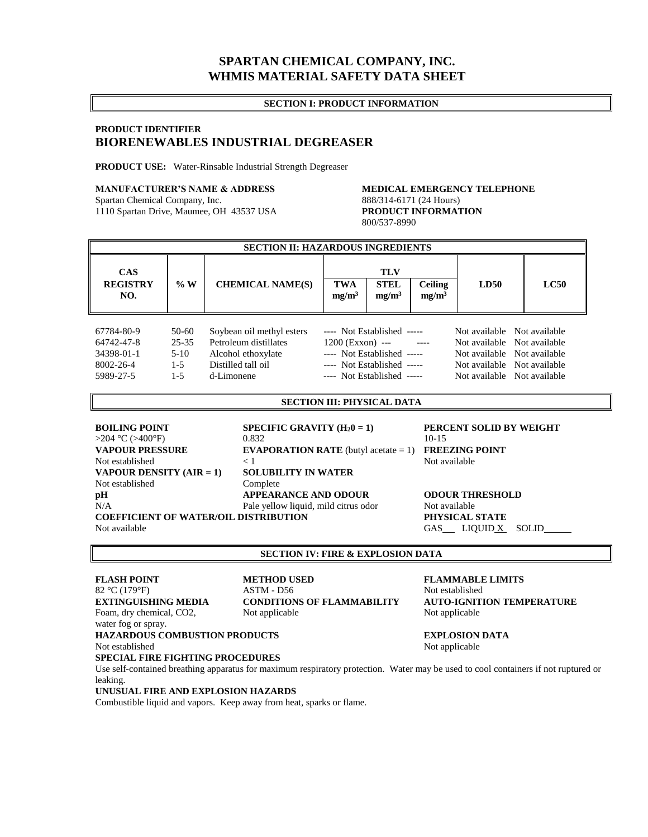# **SPARTAN CHEMICAL COMPANY, INC. WHMIS MATERIAL SAFETY DATA SHEET**

# **SECTION I: PRODUCT INFORMATION**

# **PRODUCT IDENTIFIER BIORENEWABLES INDUSTRIAL DEGREASER**

**PRODUCT USE:** Water-Rinsable Industrial Strength Degreaser

## **MANUFACTURER'S NAME & ADDRESS MEDICAL EMERGENCY TELEPHONE**

Spartan Chemical Company, Inc. 888/314-6171 (24 Hours)

1110 Spartan Drive, Maumee, OH 43537 USA **PRODUCT INFORMATION**

# 800/537-8990

| <b>SECTION II: HAZARDOUS INGREDIENTS</b> |           |                           |                                                                 |                                  |                                     |                             |               |
|------------------------------------------|-----------|---------------------------|-----------------------------------------------------------------|----------------------------------|-------------------------------------|-----------------------------|---------------|
| <b>CAS</b>                               |           |                           | <b>TLV</b>                                                      |                                  |                                     |                             |               |
| <b>REGISTRY</b><br>NO.                   | %W        | <b>CHEMICAL NAME(S)</b>   | <b>TWA</b><br>mg/m <sup>3</sup>                                 | <b>STEL</b><br>mg/m <sup>3</sup> | <b>Ceiling</b><br>mg/m <sup>3</sup> | LD50                        | $_{\rm LC50}$ |
|                                          |           |                           |                                                                 |                                  |                                     |                             |               |
| 67784-80-9                               | 50-60     | Soybean oil methyl esters | ---- Not Established -----                                      |                                  |                                     | Not available Not available |               |
| 64742-47-8                               | $25 - 35$ | Petroleum distillates     | $1200$ (Exxon) ---<br>$\sim$ $\sim$ $\sim$ $\sim$ $\sim$ $\sim$ |                                  |                                     | Not available Not available |               |
| 34398-01-1                               | $5-10$    | Alcohol ethoxylate        | ---- Not Established -----                                      |                                  |                                     | Not available Not available |               |
| 8002-26-4                                | $1-5$     | Distilled tall oil        | ---- Not Established -----                                      |                                  |                                     | Not available Not available |               |
| 5989-27-5                                | 1-5       | d-Limonene                | ---- Not Established -----                                      |                                  |                                     | Not available Not available |               |

# **SECTION III: PHYSICAL DATA**

**BOILING POINT SPECIFIC GRAVITY (H20 = 1) PERCENT SOLID BY WEIGHT**  $>204$  °C ( $>400$ °F) 0.832 10-15 **VAPOUR PRESSURE EVAPORATION RATE** (butyl acetate = 1) **FREEZING POINT** Not established  $\lt 1$   $\lt 1$  Not available **VAPOUR DENSITY (AIR = 1) SOLUBILITY IN WATER** Not established Complete **pH APPEARANCE AND ODOUR ODOUR THRESHOLD** N/A Pale yellow liquid, mild citrus odor Not available **COEFFICIENT OF WATER/OIL DISTRIBUTION PHYSICAL STATE** Not available GAS LIQUID X SOLID

# **SECTION IV: FIRE & EXPLOSION DATA**

**FLASH POINT METHOD USED FLAMMABLE LIMITS** 82 °C (179°F) ASTM - D56 Not established **EXTINGUISHING MEDIA CONDITIONS OF FLAMMABILITY AUTO-IGNITION TEMPERATURE** Foam, dry chemical, CO2, Not applicable Not applicable Not applicable

Not established Not applicable Not applicable Not applicable

**HAZARDOUS COMBUSTION PRODUCTS EXPLOSION DATA**

water fog or spray.

**SPECIAL FIRE FIGHTING PROCEDURES**

Use self-contained breathing apparatus for maximum respiratory protection. Water may be used to cool containers if not ruptured or leaking.

**UNUSUAL FIRE AND EXPLOSION HAZARDS**

Combustible liquid and vapors. Keep away from heat, sparks or flame.